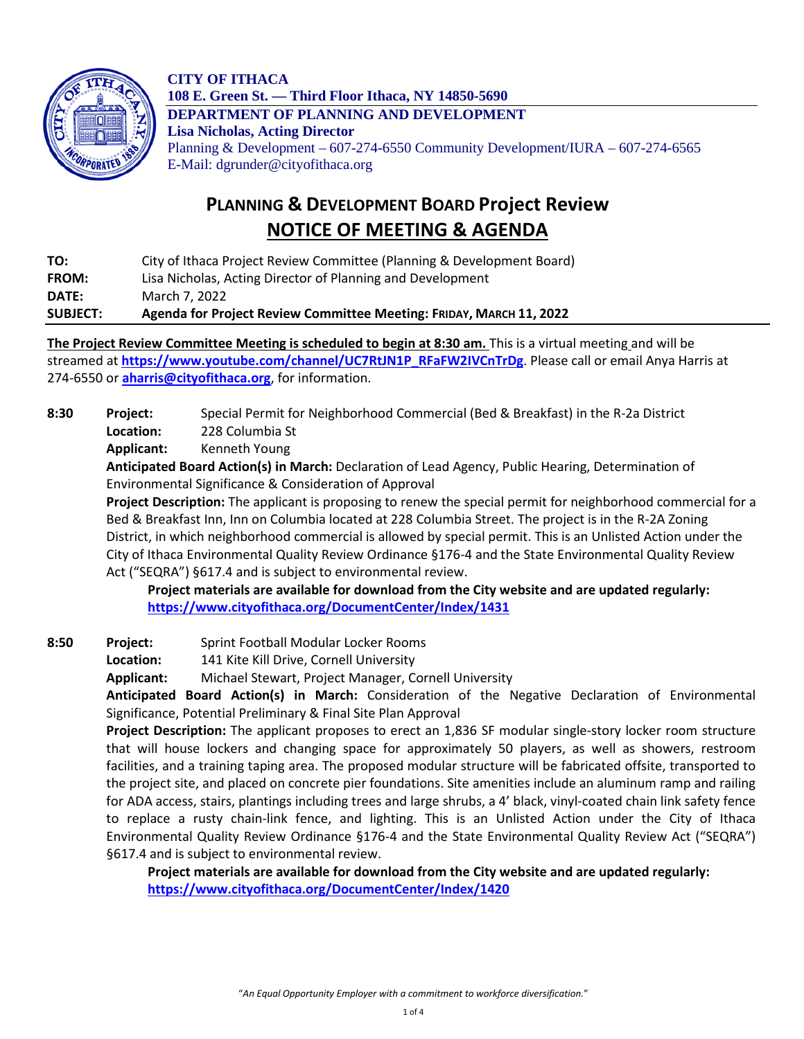

**CITY OF ITHACA 108 E. Green St. — Third Floor Ithaca, NY 14850-5690 DEPARTMENT OF PLANNING AND DEVELOPMENT Lisa Nicholas, Acting Director** Planning & Development – 607-274-6550 Community Development/IURA – 607-274-6565 E-Mail: dgrunder@cityofithaca.org

## **PLANNING & DEVELOPMENT BOARD Project Review NOTICE OF MEETING & AGENDA**

**TO:** City of Ithaca Project Review Committee (Planning & Development Board) **FROM:** Lisa Nicholas, Acting Director of Planning and Development **DATE:** March 7, 2022

**SUBJECT: Agenda for Project Review Committee Meeting: FRIDAY, MARCH 11, 2022**

**The Project Review Committee Meeting is scheduled to begin at 8:30 am.** This is a virtual meeting and will be streamed at **[https://www.youtube.com/channel/UC7RtJN1P\\_RFaFW2IVCnTrDg](https://www.youtube.com/channel/UC7RtJN1P_RFaFW2IVCnTrDg)**. Please call or email Anya Harris at 274-6550 or **[aharris@cityofithaca.org](mailto:aharris@cityofithaca.org)**, for information.

**8:30 Project:** Special Permit for Neighborhood Commercial (Bed & Breakfast) in the R-2a District **Location:** 228 Columbia St

**Applicant:** Kenneth Young

**Anticipated Board Action(s) in March:** Declaration of Lead Agency, Public Hearing, Determination of Environmental Significance & Consideration of Approval

**Project Description:** The applicant is proposing to renew the special permit for neighborhood commercial for a Bed & Breakfast Inn, Inn on Columbia located at 228 Columbia Street. The project is in the R-2A Zoning District, in which neighborhood commercial is allowed by special permit. This is an Unlisted Action under the City of Ithaca Environmental Quality Review Ordinance §176-4 and the State Environmental Quality Review Act ("SEQRA") §617.4 and is subject to environmental review.

**Project materials are available for download from the City website and are updated regularly: <https://www.cityofithaca.org/DocumentCenter/Index/1431>**

**8:50 Project:** Sprint Football Modular Locker Rooms

**Location:** 141 Kite Kill Drive, Cornell University

**Applicant:** Michael Stewart, Project Manager, Cornell University

**Anticipated Board Action(s) in March:** Consideration of the Negative Declaration of Environmental Significance, Potential Preliminary & Final Site Plan Approval

**Project Description:** The applicant proposes to erect an 1,836 SF modular single-story locker room structure that will house lockers and changing space for approximately 50 players, as well as showers, restroom facilities, and a training taping area. The proposed modular structure will be fabricated offsite, transported to the project site, and placed on concrete pier foundations. Site amenities include an aluminum ramp and railing for ADA access, stairs, plantings including trees and large shrubs, a 4' black, vinyl-coated chain link safety fence to replace a rusty chain-link fence, and lighting. This is an Unlisted Action under the City of Ithaca Environmental Quality Review Ordinance §176-4 and the State Environmental Quality Review Act ("SEQRA") §617.4 and is subject to environmental review.

**Project materials are available for download from the City website and are updated regularly: <https://www.cityofithaca.org/DocumentCenter/Index/1420>**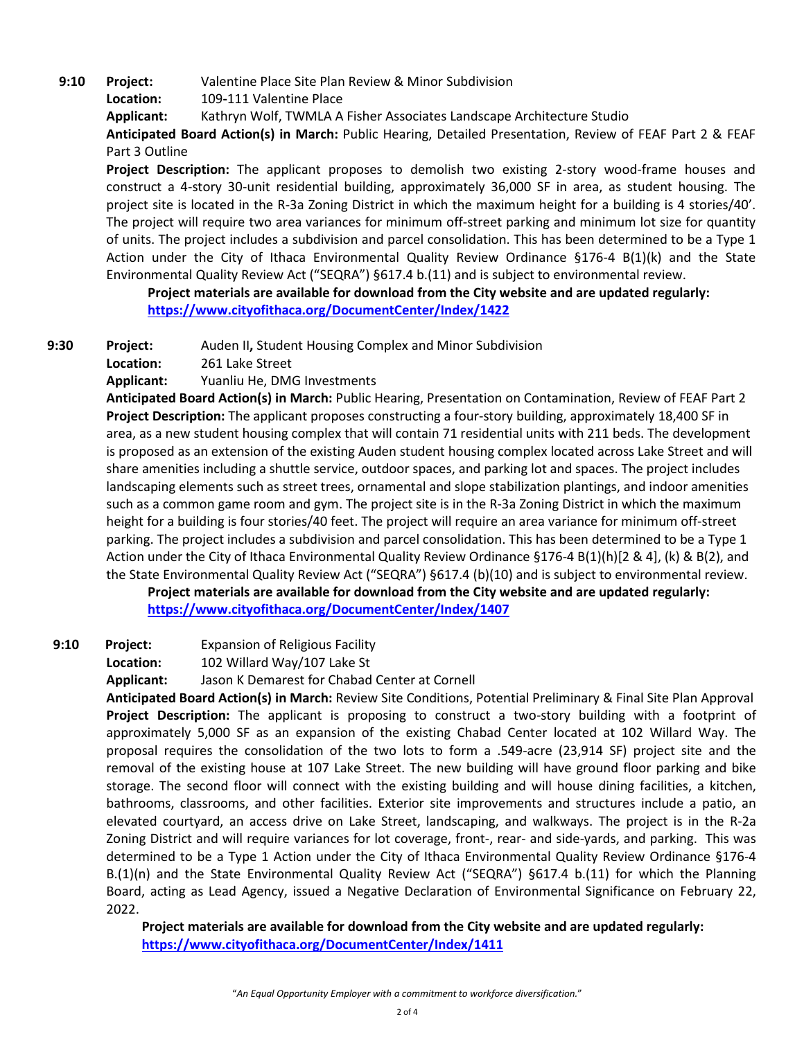**9:10 Project:** Valentine Place Site Plan Review & Minor Subdivision

**Location:** 109**-**111 Valentine Place

**Applicant:** Kathryn Wolf, TWMLA A Fisher Associates Landscape Architecture Studio

**Anticipated Board Action(s) in March:** Public Hearing, Detailed Presentation, Review of FEAF Part 2 & FEAF Part 3 Outline

**Project Description:** The applicant proposes to demolish two existing 2-story wood-frame houses and construct a 4-story 30-unit residential building, approximately 36,000 SF in area, as student housing. The project site is located in the R-3a Zoning District in which the maximum height for a building is 4 stories/40'. The project will require two area variances for minimum off-street parking and minimum lot size for quantity of units. The project includes a subdivision and parcel consolidation. This has been determined to be a Type 1 Action under the City of Ithaca Environmental Quality Review Ordinance §176-4 B(1)(k) and the State Environmental Quality Review Act ("SEQRA") §617.4 b.(11) and is subject to environmental review.

**Project materials are available for download from the City website and are updated regularly: <https://www.cityofithaca.org/DocumentCenter/Index/1422>**

**9:30 Project:** Auden II**,** Student Housing Complex and Minor Subdivision

**Location:** 261 Lake Street

**Applicant:** Yuanliu He, DMG Investments

**Anticipated Board Action(s) in March:** Public Hearing, Presentation on Contamination, Review of FEAF Part 2 **Project Description:** The applicant proposes constructing a four-story building, approximately 18,400 SF in area, as a new student housing complex that will contain 71 residential units with 211 beds. The development is proposed as an extension of the existing Auden student housing complex located across Lake Street and will share amenities including a shuttle service, outdoor spaces, and parking lot and spaces. The project includes landscaping elements such as street trees, ornamental and slope stabilization plantings, and indoor amenities such as a common game room and gym. The project site is in the R-3a Zoning District in which the maximum height for a building is four stories/40 feet. The project will require an area variance for minimum off-street parking. The project includes a subdivision and parcel consolidation. This has been determined to be a Type 1 Action under the City of Ithaca Environmental Quality Review Ordinance §176-4 B(1)(h)[2 & 4], (k) & B(2), and the State Environmental Quality Review Act ("SEQRA") §617.4 (b)(10) and is subject to environmental review.

**Project materials are available for download from the City website and are updated regularly: <https://www.cityofithaca.org/DocumentCenter/Index/1407>**

**9:10 Project:** Expansion of Religious Facility

**Location:** 102 Willard Way/107 Lake St

**Applicant:** Jason K Demarest for Chabad Center at Cornell

**Anticipated Board Action(s) in March:** Review Site Conditions, Potential Preliminary & Final Site Plan Approval **Project Description:** The applicant is proposing to construct a two-story building with a footprint of approximately 5,000 SF as an expansion of the existing Chabad Center located at 102 Willard Way. The proposal requires the consolidation of the two lots to form a .549-acre (23,914 SF) project site and the removal of the existing house at 107 Lake Street. The new building will have ground floor parking and bike storage. The second floor will connect with the existing building and will house dining facilities, a kitchen, bathrooms, classrooms, and other facilities. Exterior site improvements and structures include a patio, an elevated courtyard, an access drive on Lake Street, landscaping, and walkways. The project is in the R-2a Zoning District and will require variances for lot coverage, front-, rear- and side-yards, and parking. This was determined to be a Type 1 Action under the City of Ithaca Environmental Quality Review Ordinance §176-4 B.(1)(n) and the State Environmental Quality Review Act ("SEQRA") §617.4 b.(11) for which the Planning Board, acting as Lead Agency, issued a Negative Declaration of Environmental Significance on February 22, 2022.

**Project materials are available for download from the City website and are updated regularly: <https://www.cityofithaca.org/DocumentCenter/Index/1411>**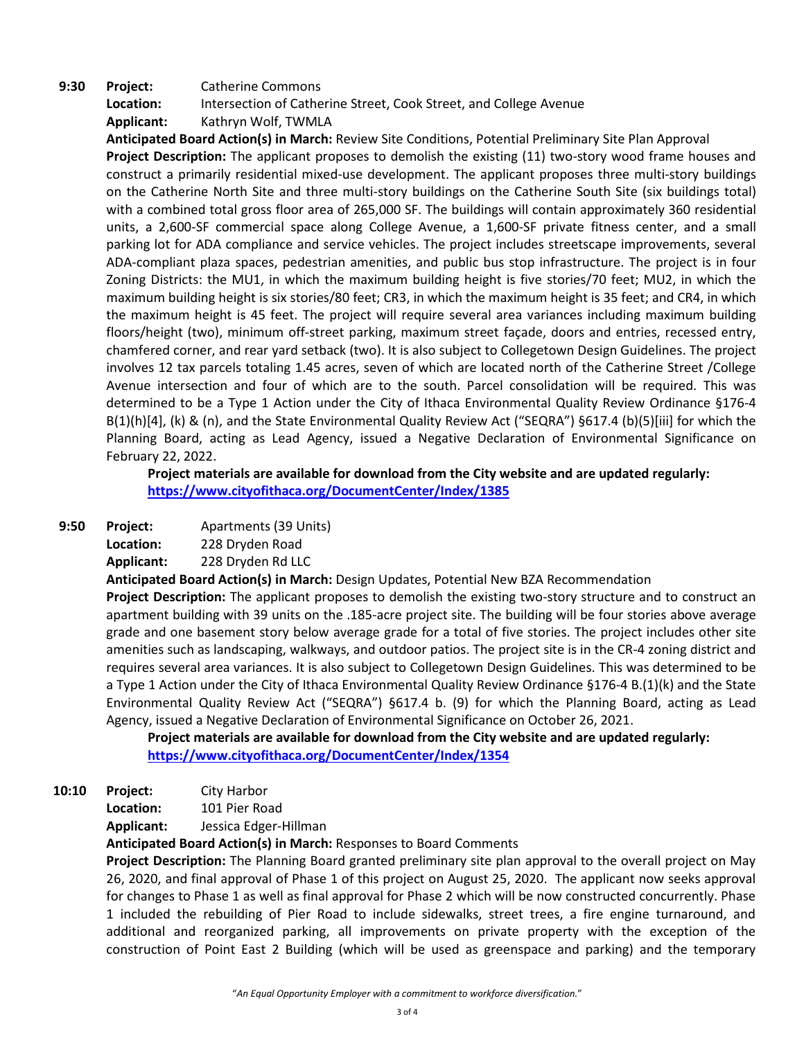## **9:30 Project:** Catherine Commons **Location:** Intersection of Catherine Street, Cook Street, and College Avenue **Applicant:** Kathryn Wolf, TWMLA

**Anticipated Board Action(s) in March:** Review Site Conditions, Potential Preliminary Site Plan Approval **Project Description:** The applicant proposes to demolish the existing (11) two-story wood frame houses and construct a primarily residential mixed-use development. The applicant proposes three multi-story buildings on the Catherine North Site and three multi-story buildings on the Catherine South Site (six buildings total) with a combined total gross floor area of 265,000 SF. The buildings will contain approximately 360 residential units, a 2,600-SF commercial space along College Avenue, a 1,600-SF private fitness center, and a small parking lot for ADA compliance and service vehicles. The project includes streetscape improvements, several ADA-compliant plaza spaces, pedestrian amenities, and public bus stop infrastructure. The project is in four Zoning Districts: the MU1, in which the maximum building height is five stories/70 feet; MU2, in which the maximum building height is six stories/80 feet; CR3, in which the maximum height is 35 feet; and CR4, in which the maximum height is 45 feet. The project will require several area variances including maximum building floors/height (two), minimum off-street parking, maximum street façade, doors and entries, recessed entry, chamfered corner, and rear yard setback (two). It is also subject to Collegetown Design Guidelines. The project involves 12 tax parcels totaling 1.45 acres, seven of which are located north of the Catherine Street /College Avenue intersection and four of which are to the south. Parcel consolidation will be required. This was determined to be a Type 1 Action under the City of Ithaca Environmental Quality Review Ordinance §176-4 B(1)(h)[4], (k) & (n), and the State Environmental Quality Review Act ("SEQRA") §617.4 (b)(5)[iii] for which the Planning Board, acting as Lead Agency, issued a Negative Declaration of Environmental Significance on February 22, 2022.

**Project materials are available for download from the City website and are updated regularly: <https://www.cityofithaca.org/DocumentCenter/Index/1385>**

**9:50 Project:** Apartments (39 Units)

**Location:** 228 Dryden Road

**Applicant:** 228 Dryden Rd LLC

**Anticipated Board Action(s) in March:** Design Updates, Potential New BZA Recommendation **Project Description:** The applicant proposes to demolish the existing two-story structure and to construct an apartment building with 39 units on the .185-acre project site. The building will be four stories above average grade and one basement story below average grade for a total of five stories. The project includes other site amenities such as landscaping, walkways, and outdoor patios. The project site is in the CR-4 zoning district and requires several area variances. It is also subject to Collegetown Design Guidelines. This was determined to be a Type 1 Action under the City of Ithaca Environmental Quality Review Ordinance §176-4 B.(1)(k) and the State Environmental Quality Review Act ("SEQRA") §617.4 b. (9) for which the Planning Board, acting as Lead Agency, issued a Negative Declaration of Environmental Significance on October 26, 2021.

**Project materials are available for download from the City website and are updated regularly: <https://www.cityofithaca.org/DocumentCenter/Index/1354>**

**10:10 Project:** City Harbor

**Location:** 101 Pier Road

**Applicant:** Jessica Edger-Hillman

**Anticipated Board Action(s) in March:** Responses to Board Comments

**Project Description:** The Planning Board granted preliminary site plan approval to the overall project on May 26, 2020, and final approval of Phase 1 of this project on August 25, 2020. The applicant now seeks approval for changes to Phase 1 as well as final approval for Phase 2 which will be now constructed concurrently. Phase 1 included the rebuilding of Pier Road to include sidewalks, street trees, a fire engine turnaround, and additional and reorganized parking, all improvements on private property with the exception of the construction of Point East 2 Building (which will be used as greenspace and parking) and the temporary